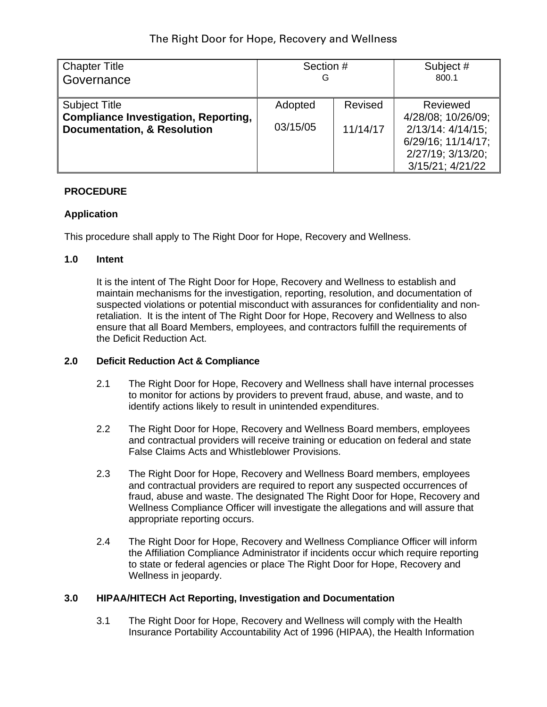| <b>Chapter Title</b>                                                                                          | Section #           |                     | Subject #                                                                                                                |
|---------------------------------------------------------------------------------------------------------------|---------------------|---------------------|--------------------------------------------------------------------------------------------------------------------------|
| Governance                                                                                                    | G                   |                     | 800.1                                                                                                                    |
| <b>Subject Title</b><br><b>Compliance Investigation, Reporting,</b><br><b>Documentation, &amp; Resolution</b> | Adopted<br>03/15/05 | Revised<br>11/14/17 | Reviewed<br>4/28/08; 10/26/09;<br>$2/13/14$ : $4/14/15$ ;<br>6/29/16; 11/14/17;<br>2/27/19; 3/13/20;<br>3/15/21; 4/21/22 |

## **PROCEDURE**

## **Application**

This procedure shall apply to The Right Door for Hope, Recovery and Wellness.

#### **1.0 Intent**

It is the intent of The Right Door for Hope, Recovery and Wellness to establish and maintain mechanisms for the investigation, reporting, resolution, and documentation of suspected violations or potential misconduct with assurances for confidentiality and nonretaliation. It is the intent of The Right Door for Hope, Recovery and Wellness to also ensure that all Board Members, employees, and contractors fulfill the requirements of the Deficit Reduction Act.

#### **2.0 Deficit Reduction Act & Compliance**

- 2.1 The Right Door for Hope, Recovery and Wellness shall have internal processes to monitor for actions by providers to prevent fraud, abuse, and waste, and to identify actions likely to result in unintended expenditures.
- 2.2 The Right Door for Hope, Recovery and Wellness Board members, employees and contractual providers will receive training or education on federal and state False Claims Acts and Whistleblower Provisions.
- 2.3 The Right Door for Hope, Recovery and Wellness Board members, employees and contractual providers are required to report any suspected occurrences of fraud, abuse and waste. The designated The Right Door for Hope, Recovery and Wellness Compliance Officer will investigate the allegations and will assure that appropriate reporting occurs.
- 2.4 The Right Door for Hope, Recovery and Wellness Compliance Officer will inform the Affiliation Compliance Administrator if incidents occur which require reporting to state or federal agencies or place The Right Door for Hope, Recovery and Wellness in jeopardy.

#### **3.0 HIPAA/HITECH Act Reporting, Investigation and Documentation**

3.1 The Right Door for Hope, Recovery and Wellness will comply with the Health Insurance Portability Accountability Act of 1996 (HIPAA), the Health Information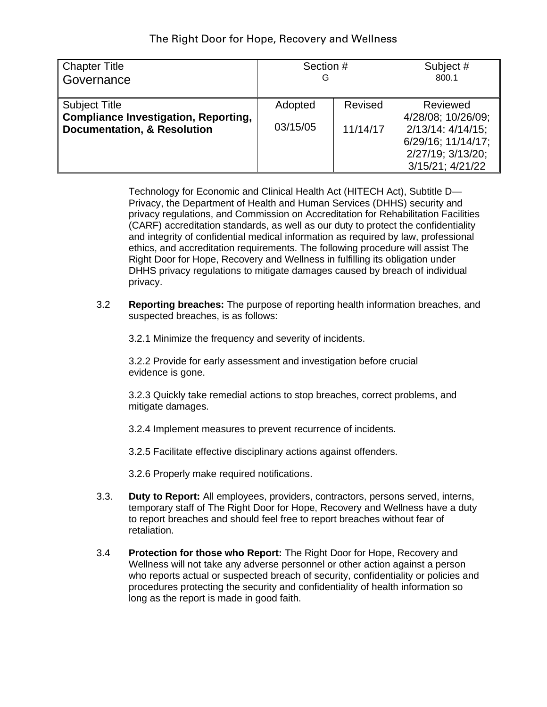| Chapter Title                                                                                                 | Section #           |                     | Subject #                                                                                                                |
|---------------------------------------------------------------------------------------------------------------|---------------------|---------------------|--------------------------------------------------------------------------------------------------------------------------|
| ∥Governance                                                                                                   | G                   |                     | 800.1                                                                                                                    |
| <b>Subject Title</b><br><b>Compliance Investigation, Reporting,</b><br><b>Documentation, &amp; Resolution</b> | Adopted<br>03/15/05 | Revised<br>11/14/17 | Reviewed<br>4/28/08; 10/26/09;<br>$2/13/14$ : $4/14/15$ ;<br>6/29/16; 11/14/17;<br>2/27/19; 3/13/20;<br>3/15/21; 4/21/22 |

Technology for Economic and Clinical Health Act (HITECH Act), Subtitle D— Privacy, the Department of Health and Human Services (DHHS) security and privacy regulations, and Commission on Accreditation for Rehabilitation Facilities (CARF) accreditation standards, as well as our duty to protect the confidentiality and integrity of confidential medical information as required by law, professional ethics, and accreditation requirements. The following procedure will assist The Right Door for Hope, Recovery and Wellness in fulfilling its obligation under DHHS privacy regulations to mitigate damages caused by breach of individual privacy.

3.2 **Reporting breaches:** The purpose of reporting health information breaches, and suspected breaches, is as follows:

3.2.1 Minimize the frequency and severity of incidents.

3.2.2 Provide for early assessment and investigation before crucial evidence is gone.

3.2.3 Quickly take remedial actions to stop breaches, correct problems, and mitigate damages.

3.2.4 Implement measures to prevent recurrence of incidents.

3.2.5 Facilitate effective disciplinary actions against offenders.

3.2.6 Properly make required notifications.

- 3.3. **Duty to Report:** All employees, providers, contractors, persons served, interns, temporary staff of The Right Door for Hope, Recovery and Wellness have a duty to report breaches and should feel free to report breaches without fear of retaliation.
- 3.4 **Protection for those who Report:** The Right Door for Hope, Recovery and Wellness will not take any adverse personnel or other action against a person who reports actual or suspected breach of security, confidentiality or policies and procedures protecting the security and confidentiality of health information so long as the report is made in good faith.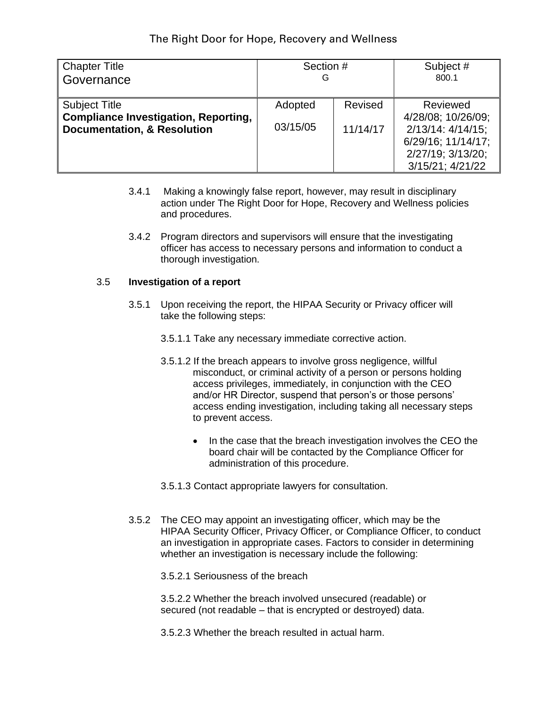| <b>Chapter Title</b>                                                                                          | Section #           |                     | Subject #                                                                                                                |
|---------------------------------------------------------------------------------------------------------------|---------------------|---------------------|--------------------------------------------------------------------------------------------------------------------------|
| Governance                                                                                                    | G                   |                     | 800.1                                                                                                                    |
| <b>Subject Title</b><br><b>Compliance Investigation, Reporting,</b><br><b>Documentation, &amp; Resolution</b> | Adopted<br>03/15/05 | Revised<br>11/14/17 | Reviewed<br>4/28/08; 10/26/09;<br>$2/13/14$ : $4/14/15$ ;<br>6/29/16; 11/14/17;<br>2/27/19; 3/13/20;<br>3/15/21; 4/21/22 |

- 3.4.1 Making a knowingly false report, however, may result in disciplinary action under The Right Door for Hope, Recovery and Wellness policies and procedures.
- 3.4.2 Program directors and supervisors will ensure that the investigating officer has access to necessary persons and information to conduct a thorough investigation.

#### 3.5 **Investigation of a report**

- 3.5.1 Upon receiving the report, the HIPAA Security or Privacy officer will take the following steps:
	- 3.5.1.1 Take any necessary immediate corrective action.
	- 3.5.1.2 If the breach appears to involve gross negligence, willful misconduct, or criminal activity of a person or persons holding access privileges, immediately, in conjunction with the CEO and/or HR Director, suspend that person's or those persons' access ending investigation, including taking all necessary steps to prevent access.
		- In the case that the breach investigation involves the CEO the board chair will be contacted by the Compliance Officer for administration of this procedure.
	- 3.5.1.3 Contact appropriate lawyers for consultation.
- 3.5.2 The CEO may appoint an investigating officer, which may be the HIPAA Security Officer, Privacy Officer, or Compliance Officer, to conduct an investigation in appropriate cases. Factors to consider in determining whether an investigation is necessary include the following:

3.5.2.1 Seriousness of the breach

3.5.2.2 Whether the breach involved unsecured (readable) or secured (not readable – that is encrypted or destroyed) data.

3.5.2.3 Whether the breach resulted in actual harm.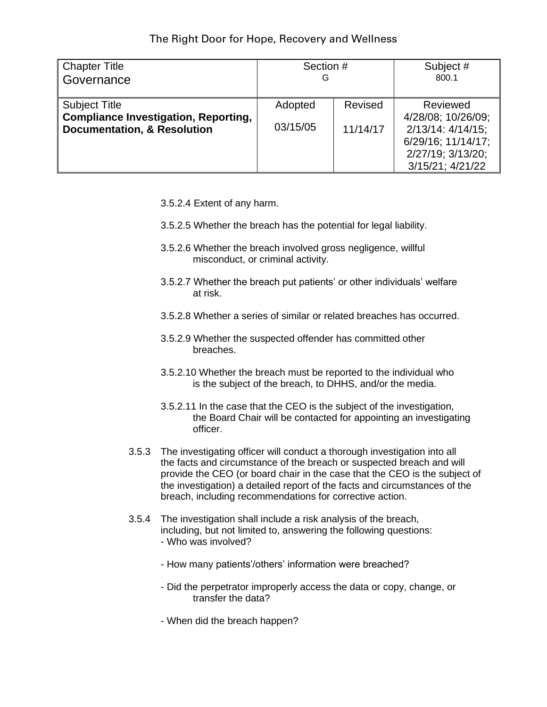| Chapter Title                                                                                                 | Section #           |                     | Subject #                                                                                                                |
|---------------------------------------------------------------------------------------------------------------|---------------------|---------------------|--------------------------------------------------------------------------------------------------------------------------|
| ∥Governance                                                                                                   | G                   |                     | 800.1                                                                                                                    |
| <b>Subject Title</b><br><b>Compliance Investigation, Reporting,</b><br><b>Documentation, &amp; Resolution</b> | Adopted<br>03/15/05 | Revised<br>11/14/17 | Reviewed<br>4/28/08; 10/26/09;<br>$2/13/14$ : $4/14/15$ ;<br>6/29/16; 11/14/17;<br>2/27/19; 3/13/20;<br>3/15/21; 4/21/22 |

- 3.5.2.4 Extent of any harm.
- 3.5.2.5 Whether the breach has the potential for legal liability.
- 3.5.2.6 Whether the breach involved gross negligence, willful misconduct, or criminal activity.
- 3.5.2.7 Whether the breach put patients' or other individuals' welfare at risk.
- 3.5.2.8 Whether a series of similar or related breaches has occurred.
- 3.5.2.9 Whether the suspected offender has committed other breaches.
- 3.5.2.10 Whether the breach must be reported to the individual who is the subject of the breach, to DHHS, and/or the media.
- 3.5.2.11 In the case that the CEO is the subject of the investigation, the Board Chair will be contacted for appointing an investigating officer.
- 3.5.3 The investigating officer will conduct a thorough investigation into all the facts and circumstance of the breach or suspected breach and will provide the CEO (or board chair in the case that the CEO is the subject of the investigation) a detailed report of the facts and circumstances of the breach, including recommendations for corrective action.
- 3.5.4 The investigation shall include a risk analysis of the breach, including, but not limited to, answering the following questions: - Who was involved?
	- How many patients'/others' information were breached?
	- Did the perpetrator improperly access the data or copy, change, or transfer the data?
	- When did the breach happen?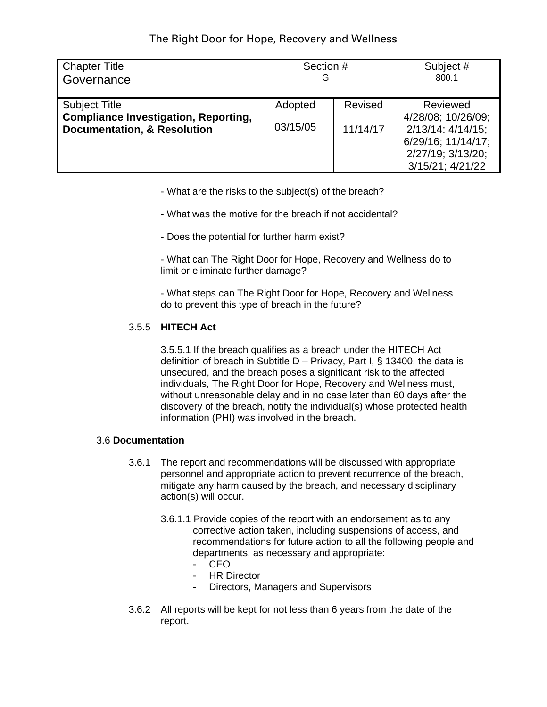| Chapter Title                                                                                          | Section #           |                     | Subject #                                                                                                                |
|--------------------------------------------------------------------------------------------------------|---------------------|---------------------|--------------------------------------------------------------------------------------------------------------------------|
| ∥Governance                                                                                            | G                   |                     | 800.1                                                                                                                    |
| <b>Subject Title</b><br>Compliance Investigation, Reporting,<br><b>Documentation, &amp; Resolution</b> | Adopted<br>03/15/05 | Revised<br>11/14/17 | Reviewed<br>4/28/08; 10/26/09;<br>$2/13/14$ : $4/14/15$ ;<br>6/29/16; 11/14/17;<br>2/27/19; 3/13/20;<br>3/15/21; 4/21/22 |

- What are the risks to the subject(s) of the breach?
- What was the motive for the breach if not accidental?
- Does the potential for further harm exist?

- What can The Right Door for Hope, Recovery and Wellness do to limit or eliminate further damage?

- What steps can The Right Door for Hope, Recovery and Wellness do to prevent this type of breach in the future?

# 3.5.5 **HITECH Act**

3.5.5.1 If the breach qualifies as a breach under the HITECH Act definition of breach in Subtitle  $D -$  Privacy, Part I, § 13400, the data is unsecured, and the breach poses a significant risk to the affected individuals, The Right Door for Hope, Recovery and Wellness must, without unreasonable delay and in no case later than 60 days after the discovery of the breach, notify the individual(s) whose protected health information (PHI) was involved in the breach.

# 3.6 **Documentation**

- 3.6.1 The report and recommendations will be discussed with appropriate personnel and appropriate action to prevent recurrence of the breach, mitigate any harm caused by the breach, and necessary disciplinary action(s) will occur.
	- 3.6.1.1 Provide copies of the report with an endorsement as to any corrective action taken, including suspensions of access, and recommendations for future action to all the following people and departments, as necessary and appropriate:
		- CEO
		- **HR Director**
		- Directors, Managers and Supervisors
- 3.6.2 All reports will be kept for not less than 6 years from the date of the report.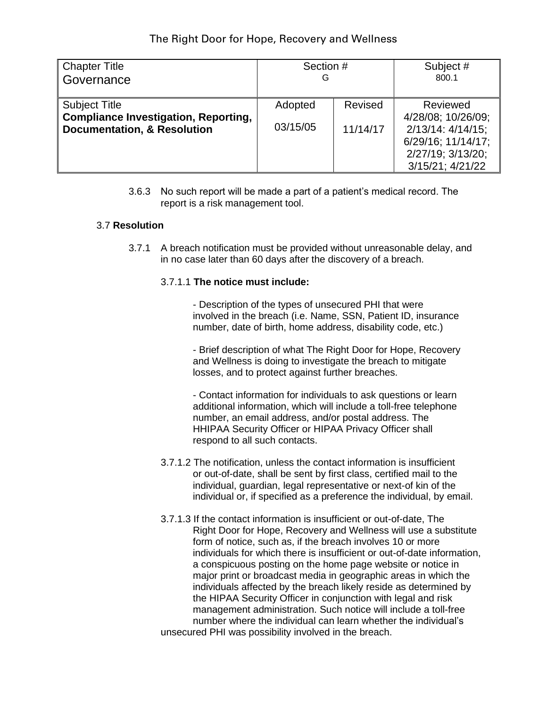| Chapter Title                                                                                                 | Section #           |                     | Subject #                                                                                                                |
|---------------------------------------------------------------------------------------------------------------|---------------------|---------------------|--------------------------------------------------------------------------------------------------------------------------|
| ∥Governance                                                                                                   | G                   |                     | 800.1                                                                                                                    |
| <b>Subject Title</b><br><b>Compliance Investigation, Reporting,</b><br><b>Documentation, &amp; Resolution</b> | Adopted<br>03/15/05 | Revised<br>11/14/17 | Reviewed<br>4/28/08; 10/26/09;<br>$2/13/14$ : $4/14/15$ ;<br>6/29/16; 11/14/17;<br>2/27/19; 3/13/20;<br>3/15/21; 4/21/22 |

3.6.3 No such report will be made a part of a patient's medical record. The report is a risk management tool.

## 3.7 **Resolution**

3.7.1 A breach notification must be provided without unreasonable delay, and in no case later than 60 days after the discovery of a breach.

#### 3.7.1.1 **The notice must include:**

- Description of the types of unsecured PHI that were involved in the breach (i.e. Name, SSN, Patient ID, insurance number, date of birth, home address, disability code, etc.)

- Brief description of what The Right Door for Hope, Recovery and Wellness is doing to investigate the breach to mitigate losses, and to protect against further breaches.

- Contact information for individuals to ask questions or learn additional information, which will include a toll-free telephone number, an email address, and/or postal address. The HHIPAA Security Officer or HIPAA Privacy Officer shall respond to all such contacts.

- 3.7.1.2 The notification, unless the contact information is insufficient or out-of-date, shall be sent by first class, certified mail to the individual, guardian, legal representative or next-of kin of the individual or, if specified as a preference the individual, by email.
- 3.7.1.3 If the contact information is insufficient or out-of-date, The Right Door for Hope, Recovery and Wellness will use a substitute form of notice, such as, if the breach involves 10 or more individuals for which there is insufficient or out-of-date information, a conspicuous posting on the home page website or notice in major print or broadcast media in geographic areas in which the individuals affected by the breach likely reside as determined by the HIPAA Security Officer in conjunction with legal and risk management administration. Such notice will include a toll-free number where the individual can learn whether the individual's unsecured PHI was possibility involved in the breach.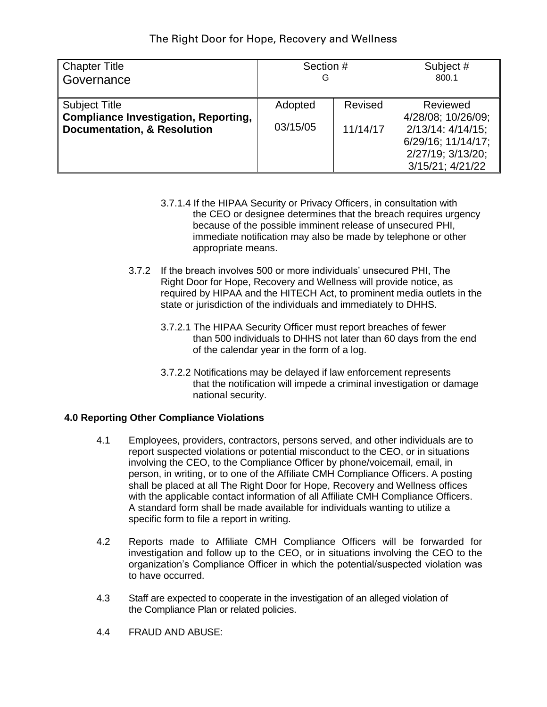| <b>Chapter Title</b>                                                                                          | Section #           |                     | Subject #                                                                                                                |
|---------------------------------------------------------------------------------------------------------------|---------------------|---------------------|--------------------------------------------------------------------------------------------------------------------------|
| Governance                                                                                                    | G                   |                     | 800.1                                                                                                                    |
| <b>Subject Title</b><br><b>Compliance Investigation, Reporting,</b><br><b>Documentation, &amp; Resolution</b> | Adopted<br>03/15/05 | Revised<br>11/14/17 | Reviewed<br>4/28/08; 10/26/09;<br>$2/13/14$ : $4/14/15$ ;<br>6/29/16; 11/14/17;<br>2/27/19; 3/13/20;<br>3/15/21; 4/21/22 |

- 3.7.1.4 If the HIPAA Security or Privacy Officers, in consultation with the CEO or designee determines that the breach requires urgency because of the possible imminent release of unsecured PHI, immediate notification may also be made by telephone or other appropriate means.
- 3.7.2 If the breach involves 500 or more individuals' unsecured PHI, The Right Door for Hope, Recovery and Wellness will provide notice, as required by HIPAA and the HITECH Act, to prominent media outlets in the state or jurisdiction of the individuals and immediately to DHHS.
	- 3.7.2.1 The HIPAA Security Officer must report breaches of fewer than 500 individuals to DHHS not later than 60 days from the end of the calendar year in the form of a log.
	- 3.7.2.2 Notifications may be delayed if law enforcement represents that the notification will impede a criminal investigation or damage national security.

#### **4.0 Reporting Other Compliance Violations**

- 4.1 Employees, providers, contractors, persons served, and other individuals are to report suspected violations or potential misconduct to the CEO, or in situations involving the CEO, to the Compliance Officer by phone/voicemail, email, in person, in writing, or to one of the Affiliate CMH Compliance Officers. A posting shall be placed at all The Right Door for Hope, Recovery and Wellness offices with the applicable contact information of all Affiliate CMH Compliance Officers. A standard form shall be made available for individuals wanting to utilize a specific form to file a report in writing.
- 4.2 Reports made to Affiliate CMH Compliance Officers will be forwarded for investigation and follow up to the CEO, or in situations involving the CEO to the organization's Compliance Officer in which the potential/suspected violation was to have occurred.
- 4.3 Staff are expected to cooperate in the investigation of an alleged violation of the Compliance Plan or related policies.
- 4.4 FRAUD AND ABUSE: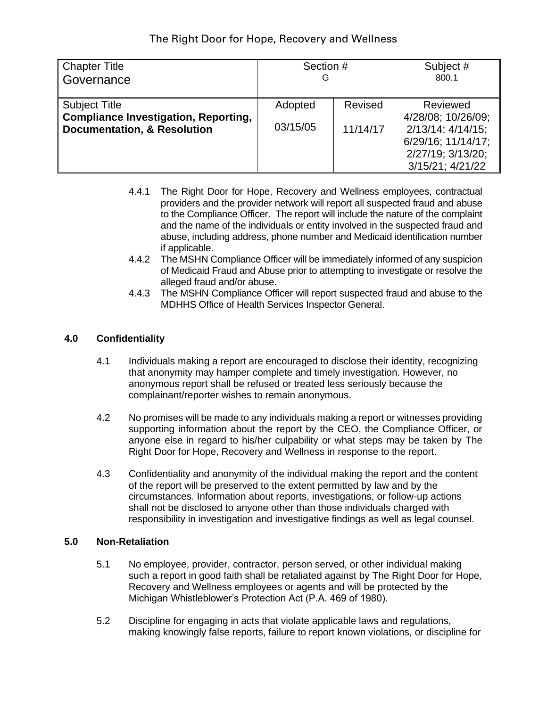| <b>Chapter Title</b>                                                                                          | Section #           |                     | Subject #                                                                                                                |
|---------------------------------------------------------------------------------------------------------------|---------------------|---------------------|--------------------------------------------------------------------------------------------------------------------------|
| Governance                                                                                                    | G                   |                     | 800.1                                                                                                                    |
| <b>Subject Title</b><br><b>Compliance Investigation, Reporting,</b><br><b>Documentation, &amp; Resolution</b> | Adopted<br>03/15/05 | Revised<br>11/14/17 | Reviewed<br>4/28/08; 10/26/09;<br>$2/13/14$ : $4/14/15$ ;<br>6/29/16; 11/14/17;<br>2/27/19; 3/13/20;<br>3/15/21; 4/21/22 |

- 4.4.1 The Right Door for Hope, Recovery and Wellness employees, contractual providers and the provider network will report all suspected fraud and abuse to the Compliance Officer. The report will include the nature of the complaint and the name of the individuals or entity involved in the suspected fraud and abuse, including address, phone number and Medicaid identification number if applicable.
- 4.4.2 The MSHN Compliance Officer will be immediately informed of any suspicion of Medicaid Fraud and Abuse prior to attempting to investigate or resolve the alleged fraud and/or abuse.
- 4.4.3 The MSHN Compliance Officer will report suspected fraud and abuse to the MDHHS Office of Health Services Inspector General.

## **4.0 Confidentiality**

- 4.1 Individuals making a report are encouraged to disclose their identity, recognizing that anonymity may hamper complete and timely investigation. However, no anonymous report shall be refused or treated less seriously because the complainant/reporter wishes to remain anonymous.
- 4.2 No promises will be made to any individuals making a report or witnesses providing supporting information about the report by the CEO, the Compliance Officer, or anyone else in regard to his/her culpability or what steps may be taken by The Right Door for Hope, Recovery and Wellness in response to the report.
- 4.3 Confidentiality and anonymity of the individual making the report and the content of the report will be preserved to the extent permitted by law and by the circumstances. Information about reports, investigations, or follow-up actions shall not be disclosed to anyone other than those individuals charged with responsibility in investigation and investigative findings as well as legal counsel.

### **5.0 Non-Retaliation**

- 5.1 No employee, provider, contractor, person served, or other individual making such a report in good faith shall be retaliated against by The Right Door for Hope, Recovery and Wellness employees or agents and will be protected by the Michigan Whistleblower's Protection Act (P.A. 469 of 1980).
- 5.2 Discipline for engaging in acts that violate applicable laws and regulations, making knowingly false reports, failure to report known violations, or discipline for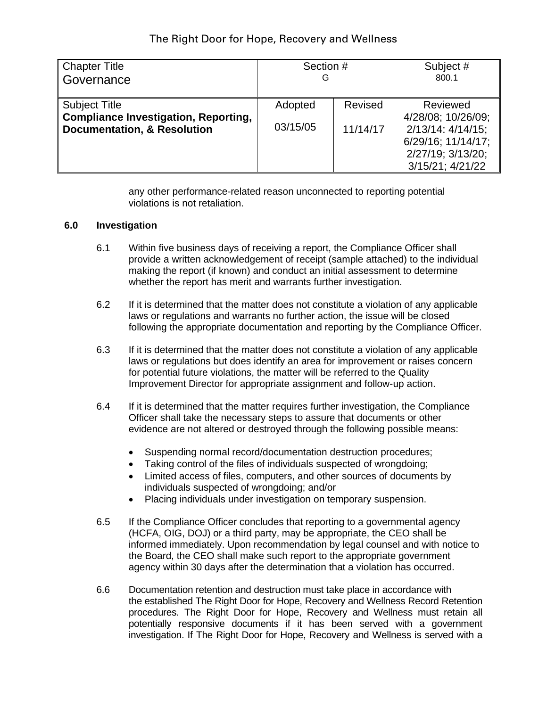| <b>Chapter Title</b>                                                                                          | Section #           |                     | Subject #                                                                                                                |
|---------------------------------------------------------------------------------------------------------------|---------------------|---------------------|--------------------------------------------------------------------------------------------------------------------------|
| Governance                                                                                                    | G                   |                     | 800.1                                                                                                                    |
| <b>Subject Title</b><br><b>Compliance Investigation, Reporting,</b><br><b>Documentation, &amp; Resolution</b> | Adopted<br>03/15/05 | Revised<br>11/14/17 | Reviewed<br>4/28/08; 10/26/09;<br>$2/13/14$ : $4/14/15$ ;<br>6/29/16; 11/14/17;<br>2/27/19; 3/13/20;<br>3/15/21; 4/21/22 |

any other performance-related reason unconnected to reporting potential violations is not retaliation.

#### **6.0 Investigation**

- 6.1 Within five business days of receiving a report, the Compliance Officer shall provide a written acknowledgement of receipt (sample attached) to the individual making the report (if known) and conduct an initial assessment to determine whether the report has merit and warrants further investigation.
- 6.2 If it is determined that the matter does not constitute a violation of any applicable laws or regulations and warrants no further action, the issue will be closed following the appropriate documentation and reporting by the Compliance Officer.
- 6.3 If it is determined that the matter does not constitute a violation of any applicable laws or regulations but does identify an area for improvement or raises concern for potential future violations, the matter will be referred to the Quality Improvement Director for appropriate assignment and follow-up action.
- 6.4 If it is determined that the matter requires further investigation, the Compliance Officer shall take the necessary steps to assure that documents or other evidence are not altered or destroyed through the following possible means:
	- Suspending normal record/documentation destruction procedures;
	- Taking control of the files of individuals suspected of wrongdoing;
	- Limited access of files, computers, and other sources of documents by individuals suspected of wrongdoing; and/or
	- Placing individuals under investigation on temporary suspension.
- 6.5 If the Compliance Officer concludes that reporting to a governmental agency (HCFA, OIG, DOJ) or a third party, may be appropriate, the CEO shall be informed immediately. Upon recommendation by legal counsel and with notice to the Board, the CEO shall make such report to the appropriate government agency within 30 days after the determination that a violation has occurred.
- 6.6 Documentation retention and destruction must take place in accordance with the established The Right Door for Hope, Recovery and Wellness Record Retention procedures. The Right Door for Hope, Recovery and Wellness must retain all potentially responsive documents if it has been served with a government investigation. If The Right Door for Hope, Recovery and Wellness is served with a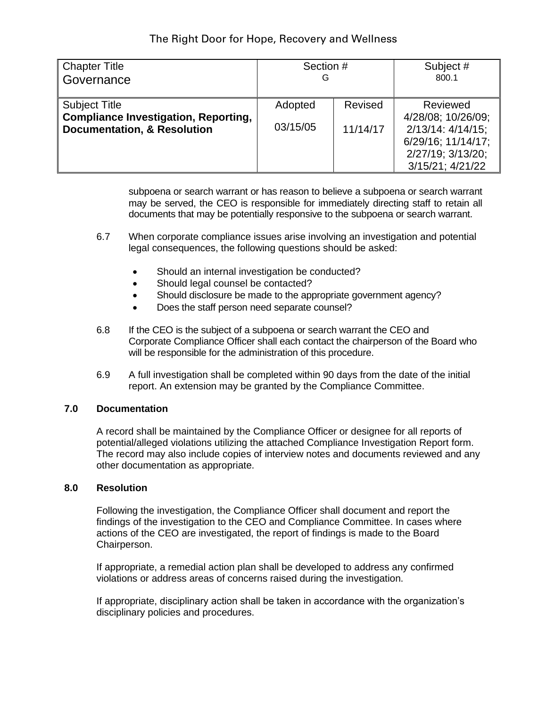| <b>Chapter Title</b>                                                                                          | Section #           |                     | Subject #                                                                                                                |
|---------------------------------------------------------------------------------------------------------------|---------------------|---------------------|--------------------------------------------------------------------------------------------------------------------------|
| Governance                                                                                                    | G                   |                     | 800.1                                                                                                                    |
| <b>Subject Title</b><br><b>Compliance Investigation, Reporting,</b><br><b>Documentation, &amp; Resolution</b> | Adopted<br>03/15/05 | Revised<br>11/14/17 | Reviewed<br>4/28/08; 10/26/09;<br>$2/13/14$ : $4/14/15$ ;<br>6/29/16; 11/14/17;<br>2/27/19; 3/13/20;<br>3/15/21; 4/21/22 |

subpoena or search warrant or has reason to believe a subpoena or search warrant may be served, the CEO is responsible for immediately directing staff to retain all documents that may be potentially responsive to the subpoena or search warrant.

- 6.7 When corporate compliance issues arise involving an investigation and potential legal consequences, the following questions should be asked:
	- Should an internal investigation be conducted?
	- Should legal counsel be contacted?
	- Should disclosure be made to the appropriate government agency?
	- Does the staff person need separate counsel?
- 6.8 If the CEO is the subject of a subpoena or search warrant the CEO and Corporate Compliance Officer shall each contact the chairperson of the Board who will be responsible for the administration of this procedure.
- 6.9 A full investigation shall be completed within 90 days from the date of the initial report. An extension may be granted by the Compliance Committee.

#### **7.0 Documentation**

A record shall be maintained by the Compliance Officer or designee for all reports of potential/alleged violations utilizing the attached Compliance Investigation Report form. The record may also include copies of interview notes and documents reviewed and any other documentation as appropriate.

#### **8.0 Resolution**

Following the investigation, the Compliance Officer shall document and report the findings of the investigation to the CEO and Compliance Committee. In cases where actions of the CEO are investigated, the report of findings is made to the Board Chairperson.

If appropriate, a remedial action plan shall be developed to address any confirmed violations or address areas of concerns raised during the investigation.

If appropriate, disciplinary action shall be taken in accordance with the organization's disciplinary policies and procedures.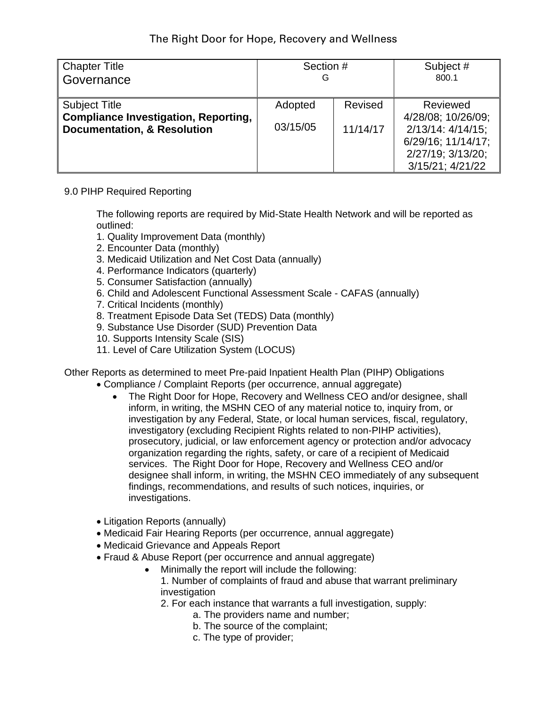| <b>Chapter Title</b>                                                                                          | Section #           |                     | Subject #                                                                                                                |
|---------------------------------------------------------------------------------------------------------------|---------------------|---------------------|--------------------------------------------------------------------------------------------------------------------------|
| Governance                                                                                                    | G                   |                     | 800.1                                                                                                                    |
| <b>Subject Title</b><br><b>Compliance Investigation, Reporting,</b><br><b>Documentation, &amp; Resolution</b> | Adopted<br>03/15/05 | Revised<br>11/14/17 | Reviewed<br>4/28/08; 10/26/09;<br>$2/13/14$ : $4/14/15$ ;<br>6/29/16; 11/14/17;<br>2/27/19; 3/13/20;<br>3/15/21; 4/21/22 |

## 9.0 PIHP Required Reporting

The following reports are required by Mid-State Health Network and will be reported as outlined:

- 1. Quality Improvement Data (monthly)
- 2. Encounter Data (monthly)
- 3. Medicaid Utilization and Net Cost Data (annually)
- 4. Performance Indicators (quarterly)
- 5. Consumer Satisfaction (annually)
- 6. Child and Adolescent Functional Assessment Scale CAFAS (annually)
- 7. Critical Incidents (monthly)
- 8. Treatment Episode Data Set (TEDS) Data (monthly)
- 9. Substance Use Disorder (SUD) Prevention Data
- 10. Supports Intensity Scale (SIS)
- 11. Level of Care Utilization System (LOCUS)

Other Reports as determined to meet Pre-paid Inpatient Health Plan (PIHP) Obligations

- Compliance / Complaint Reports (per occurrence, annual aggregate)
	- The Right Door for Hope, Recovery and Wellness CEO and/or designee, shall inform, in writing, the MSHN CEO of any material notice to, inquiry from, or investigation by any Federal, State, or local human services, fiscal, regulatory, investigatory (excluding Recipient Rights related to non-PIHP activities), prosecutory, judicial, or law enforcement agency or protection and/or advocacy organization regarding the rights, safety, or care of a recipient of Medicaid services. The Right Door for Hope, Recovery and Wellness CEO and/or designee shall inform, in writing, the MSHN CEO immediately of any subsequent findings, recommendations, and results of such notices, inquiries, or investigations.
- Litigation Reports (annually)
- Medicaid Fair Hearing Reports (per occurrence, annual aggregate)
- Medicaid Grievance and Appeals Report
- Fraud & Abuse Report (per occurrence and annual aggregate)
	- Minimally the report will include the following:
		- 1. Number of complaints of fraud and abuse that warrant preliminary investigation
		- 2. For each instance that warrants a full investigation, supply:
			- a. The providers name and number;
				- b. The source of the complaint;
				- c. The type of provider;